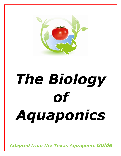

# *The Biology of Aquaponics*

*Adapted from the Texas Aquaponic Guide*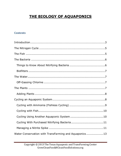# **THE BIOLOGY OF AQUAPONICS**

### **Contents**

| Water Conservation with TransFarming and Aquaponics13 |
|-------------------------------------------------------|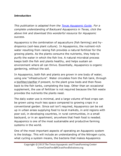#### <span id="page-2-0"></span>**Introduction**

*This publication is adapted from the [Texas Aquaponic Guide.](http://cleanfoodsolutions.org/E-Books.html) For a complete understanding of Backyard Aquaponics in Texas, click the above link and download this wonderful resource for Aquaponic success.*

Aquaponics is the combination of aquaculture (fish farming) and hydroponics (soil-less plant culture). In Aquaponics, the nutrient-rich water resulting from raising fish provides a natural fertilizer for the growing plants. As the plants consume the nutrients, they help to purify the water in which the fish live. A natural microbial process keeps both the fish and plants healthy, and helps sustain an environment where all can thrive. Essentially, Aquaponics is organic gardening, without the soil.

In Aquaponics, both fish and plants are grown in one body of water, using one "infrastructure". Water circulates from the fish tank, through a biofilter/clarifier if present, to the plant grow beds and then flows back to the fish tanks, completing the loop. Other than an occasional supplement, the use of fertilizer is not required because the fish waste provides the nutrients the plants need.

The daily water use is minimal, and a large volume of food crops can be grown using much less space compared to growing crops in a conventional garden. Since soil isn't required, Aquaponics can be set up in urban areas supplying food to local markets, in arid regions with poor soil, in developing countries, in rural communities, in a small backyard, or in an apartment; anywhere that fresh food is needed. Aquaponics is one of the most sustainable and productive farming systems in the world.

One of the most important aspects of operating an Aquaponic system is the biology. This will include an understanding of the Nitrogen cycle, what cycling a system means, the bacteria that makes Aquaponics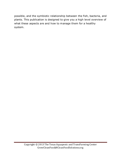<span id="page-3-0"></span>possible, and the symbiotic relationship between the fish, bacteria, and plants. This publication is designed to give you a high level overview of what these aspects are and how to manage them for a healthy system.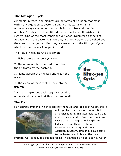# <span id="page-4-0"></span>**The Nitrogen Cycle**

Ammonia, nitrites, and nitrates are all forms of nitrogen that exist within any Aquaponics system. Beneficial **bacteria** within an Aquaponics system convert ammonia into nitrites and then into nitrates. Nitrates are then utilized by the plants and flourish within the system. One of the most important yet least understood aspects of Aquaponics is the bacteria. Since they are not visible to the naked eye, they tend to be ignored. But they are essential to the Nitrogen Cycle which is what makes Aquaponics work.

The Actual Nitrifying Cycle is simple

1. Fish excrete ammonia (waste),

2. The ammonia is converted to nitrites then nitrates by the bacteria,

3. Plants absorb the nitrates and clean the water,

4. The clean water is cycled back into the fish tank.



It's that simple, but each stage is crucial to understand. Let's look at this in more detail.

# <span id="page-4-1"></span>**The Fish**

Fish excrete ammonia which is toxic to them. In large bodies of water, this is



not a problem because of dilution. But in an enclosed tank, this accumulates quickly and becomes deadly. Excess ammonia can cause tissue damage to fish's gills and kidneys, impair their resistance to diseases, and stunt growth. In an Aquaponic system, ammonia is also toxic to the bacteria and plants. The only

practical way to reduce a sudden "spike" in ammonia is to do a partial water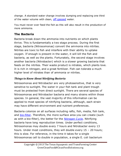change. A standard water change involves dumping and replacing one third of the water volume with dean, [off gassed](#page-6-2) water.

You must never over feed the fish as this will also result in the production of more ammonia.

# <span id="page-5-0"></span>**The Bacteria**

Bacteria break down the ammonia into nutrients on which plants thrive. This is fundamentally a two stage process. During the first stage, bacteria (Nitrosomonas) convert the ammonia into nitrites. Nitrites are toxic to fish and interfere with their ability to uptake oxygen. If enough is present in the water, it will kill the fish and bacteria, as well as the plants. Fortunately, the second stage involves another bacteria (Nitrobacter) which is a slower growing bacteria that feeds on the nitrites. Their waste product is nitrates, which plants love. It is rich in nitrogen, and a great fertilizer. Fish can tolerate a much higher level of nitrates than of ammonia or nitrites.

# <span id="page-5-1"></span>*Things to Know About Nitrifying Bacteria*

Nitrosomonas and Nitrobacter are very photosensitive, that is very sensitive to sunlight. The water in your fish tank and plant trough must be protected from direct sunlight. There are several species of Nitrosomonas and Nitrobacter bacteria and many strains within those species. In general, the vast majority of this information can be applied to most species of nitrifying bacteria, although, each strain may have different environment and nutrient preferences.

Bacteria colonize on all surfaces including rafts, fish, media, fish tank, and **bio-filter**. Therefore, the more surface area you can create (such as with a bio-filter), the better for the [Nitrogen Cycle.](#page-3-0) Nitrifying bacteria have long reproduction times. Under perfect conditions, Nitrosomonas may double every 7 hours and Nitrobacter every 13 hours. Under most conditions, they will double every 15 – 20 hours; this is slow. For reference, in the time it takes for a single Nitrosomonas cell to double in population, a single E. coli bacterium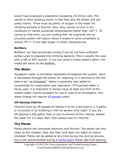would have produced a population exceeding 35 tril lion cells. The upside to them growing slower is that they also die slower and are pretty hearty. There must be plenty of oxygen in the water for nitrifying bacteria to flourish. Also, they cannot survive in dry conditions or handle sustained temperatures higher than 120° F. Of course by that time, you are cooking fish. As a general rule an uncycled system will require about 4 weeks to cycle completely at around 70° F. It will take longer in colder temperatures.

# <span id="page-6-0"></span>*Biofilters*

Biofilters can help accelerate cycling if you do not have sufficient surface area to populate the nitrifying bacteria. This is usually the case with a raft or NFT system. If you are using a media based system, the media will serve as the Biofilter.

# <span id="page-6-1"></span>**The Water**

Aquaponic water is circulated repeatedly throughout the system. Once it has passed through the plants for cleansing, it is returned to the fish tank to be "re-fertigated". Water is generally only added to compensate for evaporation and respiration. If municipal water is being used, it is important to always have at least one third of the system water volume available for use in case of an emergency. Any water change will require [off gassed](#page-6-2) water.

# <span id="page-6-2"></span>*Off-Gassing Chlorine*

Chlorine must be off-gassed by letting it sit for a few days in a 5 gallon or so bucket or by bubbling it with an aerator over night. If you are off-gassing a 300 gallon tank or any increment of this volume, bubble the water for 3-5 days then, then always test for chlorine.

# <span id="page-6-3"></span>**The Plants**

Plants absorb the converted ammonia and flourish. The plants not only clean up the nitrates, they also filter and clean the water as nature intended. Plants can be added at any time during the cycling process, but is not recommended during a *nitrite spike*. Never add fruit bearing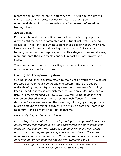plants to the system before it is fully cycled. It is fine to add greens such as lettuce and herbs, but not tomato or bell peppers. As mentioned above, it is best to wait about 3-4 weeks before adding fruiting plants.

# <span id="page-7-0"></span>*Adding Plants*

Plants can be added at any time. You will not realize any significant growth until the cycle is completed and nutrient rich water is being circulated. Think of it as putting a plant in a glass of water, which only keeps it alive. Do not add flowering plants, that is fruits such as tomato, cucumber, bell peppers, etc., at this stage as they require way more nutrients than vegetables and will impact all plant growth at this stage.

There are various methods of cycling an Aquaponic system and the most popular are outlined below.

# <span id="page-7-1"></span>**Cycling an Aquaponic System**

Cycling an Aquaponic system refers to the point at which the biological process begins in your new Aquaponic system. There are several methods of cycling an Aquaponic system, but there are a few things to keep in mind regardless of which method you apply. Use inexpensive fish. It is recommended you cycle your system using goldfish which can be purchased at most pet stores. Goldfish (feeder fish) are desirable for several reasons, they are tough little guys, they produce a large amount of ammonia (which is why you seldom see them in an aquarium), and as mentioned, not expensive.

*Note on Cycling an Aquaponic System:* 

*Keep a Log. It is helpful to keep a log during this stage which includes dates, times, test reading levels, and recordings of any changes you made to your system. This includes adding or removing fish, plant growth, test results, temperature, and amount of feed. The more detail that is recorded in your log, the more your chances for success or of helping others diagnose any system problems for you.*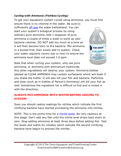### <span id="page-8-0"></span>*Cycling with Ammonia (Fishless Cycling)*

To get your Aquaponic system cycled using ammonia, you must first

ensure there is no chlorine in the water. Be sure to sufficiently [off-gas](#page-11-0) the water beforehand. You can start your system's biological process by using ordinary pure ammonia. Add 1 teaspoon of pure ammonia a couple of times a week to build up your bacteria colonies. DO NOT add too much at a time as it will then become toxic to the bacteria. Mix ammonia in a bucket first, then slowly add to system. Check your water regularly (every day or two) to ensure the ammonia level does not exceed 1.0 ppm.



Note that when cycling your system, only use pure ammonia, or ammonia with ammonium hydroxide.

Any other ingredients will destroy your system. Ammonia bottles labeled as CLEAR AMMONIA may contain surfactants which will foam if you shake the bottle. It will also kill your fish and bacteria. Perfumes and dyes (such as in bottles of Parson's Ammonia) will kill your fish as well. Sometimes the ingredient list is difficult to find and is mixed in with the directions.

# **ALWAYS MIX AMMONIA WITH WATER BEFORE ADDING TO SYSTEM!**

Soon you should realize readings for nitrites which indicate the first nitrifying bacteria have started processing the ammonia into nitrites.

NOTE: This is the prime time for a [nitrite spike.](#page-11-0) Be very cautious at this stage. Don't add any fish until the nitrite level drops back down to zero. Stop adding ammonia at least three days before adding fish. Test the levels and watch for nitrates which indicate the second nitrifying bacteria have begun to process the nitrites.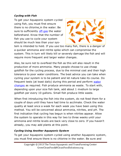#### <span id="page-9-0"></span>*Cycling with Fish*

To get your Aquaponic system cycled using fish, you must first ensure there is no chlorine in the water. Be sure to sufficiently [off-gas](#page-11-0) the water beforehand. Know that the number of fish you use to cycle your system should be much less than your sys-



tem is intended to hold. If you use too many fish, there is a danger of a quicker ammonia and nitrite spike which can compromise the system. This in turn will likely kill or severely damage the fish and will require more frequent and larger water changes.

Also, be sure not to overfeed the fish as this will also result in the production of more ammonia. Many people choose to use cheap goldfish for the cycling process, due to the minimal cost and their high tolerance to poor water conditions. The best advice you can take when cycling your system is to be patient and let nature take its course. Do frequent tests (at least daily) during this period and perform water [changes](#page-11-0) as required. Fish produce ammonia as waste. To start with, depending upon your size fish tank, add about 1 medium to large goldfish per every 10 gallons. Small fish produce little waste.

When first introducing the fish into the system, do not feed them for a couple of days until they have had time to acclimate. Check the water quality at least once a week for each week you have been using this method. You will be concerned about ammonia, nitrites, and pH. The first indication that cycling has begun is when nitrites appear. Allow the system to operate in this way for two to three weeks until your ammonia and nitrite levels are back very close to zero. If you haven't already, you may add plants at this point.

#### <span id="page-9-1"></span>*Cycling Using Another Aquaponic System*

To get your Aquaponic system cycled using another Aquaponic system, you must first ensure there is no chlorine in the water. Be sure and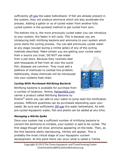sufficiently [off-gas](#page-11-0) the water beforehand. If fish are already present in the system, they will produce ammonia which will also accelerate the process. Adding a gallon or so of cycled water from another fully cycled system is the quickest method to get cycled from zero.

The bottom line is, the more previously cycled water you can introduce to your system, the faster it will cycle. This is because you are introducing both nitrifying bacteria and ammonia to your system which jump starts the cycling process. You can add previously cycled water at any stage (except during a nitrite spike) of any of the cycling methods described. Make certain you are getting your cycled water

from a source you trust. DO NOT use water from a pet store. Because they routinely deal with thousands of fish from all over the world fish, diseases are common. They must add a plethora of chemicals to combat this problem. Additionally, these chemicals will be introduced into your systems food chain.



## <span id="page-10-0"></span>*Cycling With Purchased Nitrifying Bacteria*

Nitrifying bacteria is available for purchase from a number of locations. Online, [PentairAES.com](http://www.pentairaes.com/) carries a product called Nitrifying Bacteria by

Proline<sup>®</sup> which you can add to your water to jump start the nitrification process. Different quantities can be purchased depending upon your needs. Be sure and sufficiently **Off-gas** the water beforehand. As with pre-cycled Aquaponic water, fish and plants can be added at any time.

## <span id="page-10-1"></span>*Managing a Nitrite Spike*

Once your system has a sufficient number of nitrifying bacteria to convert the ammonia to nitrates, your system is said to be cycled. The first stage though will show ammonia appearing on the tests. Then, as the first bacteria starts reproducing, nitrites will appear. This is probably the most critical stage of your Aquaponic sys tem development. At this point there can occur what is called a "nitrite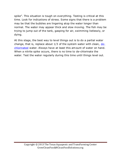spike". This situation is tough on everything. Testing is critical at this time. Look for indications of stress. Some signs that there is a problem may be that the bubbles are lingering atop the water longer than normal. The water may appear thick and slow moving. The fish may be trying to jump out of the tank, gasping for air, swimming listlessly, or dying.

<span id="page-11-0"></span>At this stage, the best way to level things out is to do a partial water change, that is, replace about  $1/3$  of the system water with clean,  $de$ [chlorinated](#page-11-0) water. Always have at least this amount of water on hand. When a nitrite spike occurs, there is no time to de-chlorinate the water. Test the water regularly during this time until things level out.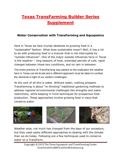# **Texas TransFarming Builder Series Supplement**

# <span id="page-12-0"></span>**Water Conservation with TransFarming and Aquaponics**

Here in Texas we face myriad obstacles to growing food in a "sustainable" fashion. What does sustainable mean? Well, it has a lot to do with producing food in a manner that is not interrupted by "outside influences". One of the major outside influences here in Texas is the weather – long seasons of heat, extended periods of cold, rapid changes between those two conditions, and no rain in between.

The entire premise of TransFarming was started on the realization the weather here in Texas can be brutal and a different approach must be taken to combat the elements in light of our modern challenges.

At the core of all this is water. Without water, nothing prospers. TransFarming is about "re-thinking" traditional gardening methods to address *regional environmental challenges* like droughts and water restrictions, while keeping in mind techniques for prosperous food production*.* These approaches involve growing food in ways that conserve water.



Weather wise, not much has changed from the days of our ancestors, but they used vastly different approaches to dealing with the climate than we do today. Following are a few techniques used to conserve water on a TransFarm.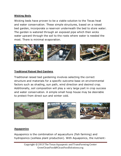#### **Wicking Beds**

Wicking beds have proven to be a viable solution to the Texas heat and water conservation. These simple structures, based on a raised bed garden, incorporate a reservoir underneath the bed to store water. The garden is watered through an exposed pipe which then wicks water upward through the soil to the roots where water is needed the most. There is minimal evaporation.



#### **Traditional Raised Bed Gardens**

Traditional raised bed gardening involves selecting the correct structure and materials for a specific outcome base on environmental factors such as shading, sun path, wind direction and desired crop. Additionally, soil composition will play a very large part in crop success and water conservation. A simple small hoop house may be desirable to protect from direct sun and winter cold.



#### **Aquaponics**

Aquaponics is the combination of aquaculture (fish farming) and hydroponics (soilless plant production). With Aquaponics, the nutrient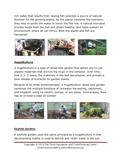rich water that results from raising fish provides a source of natural fertilizer for the growing plants. As the plants consume the nutrients, they help to purify the water in which the fish live. A natural microbial process keeps both the fish and plants healthy, and helps sustain an environment where all can thrive. Both the plants and fish are harvested.



#### **HugelKulture**

A HugelKulture is a type of raised bed garden that allows one to use organic materials that are too big to go in the compost. Over time, that is 3- 5 years, the materials in the bed decompose, and provide a slow release of nutrients for garden plants.

Because of its three-dimensionality, a HugelKulture raised bed garden combines the multiple functions of rainwater harvesting, catchment, and irrigation using no cistern, pumps, or pvc pipes. Done properly, there may be no need to water all summer!



#### **Keyhole Gardens**

A keyhole garden uses the same principle as a HugelKulture in that decomposing matter is used to absorb and retain water in the soil.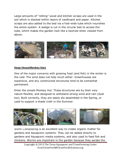Large amounts of "rotting" wood and kitchen scraps are used in the soil which is stacked within layers of cardboard and paper. Kitchen scraps are also added to the bed via a foot-wide tube which nourishes the entire system. A wedge is cut in the circular bed to access the tube, which makes the garden look like a keyhole when viewed from above.



#### **Hoop House/Monkey Huts**

One of the major concerns with growing food (and fish) in the winter is the cold. The wind does not help much either. Greenhouses are expensive, and any constructed structures tend to be somewhat permanent.

Enter the simple Monkey Hut. These structures are by their very nature flexible, and designed to withstand strong wind and rain (dust too). Built correctly, they are easily dis-assembled in the Spring, or used to support a shade cloth in the Summer.



Worm Composting is an excellent way to create organic matter for gardens and Aquaponic systems. They can be added directly to gardens and Aquaponic media systems, and also used to feed fish and chickens. Worms are important in the garden because they aerate the